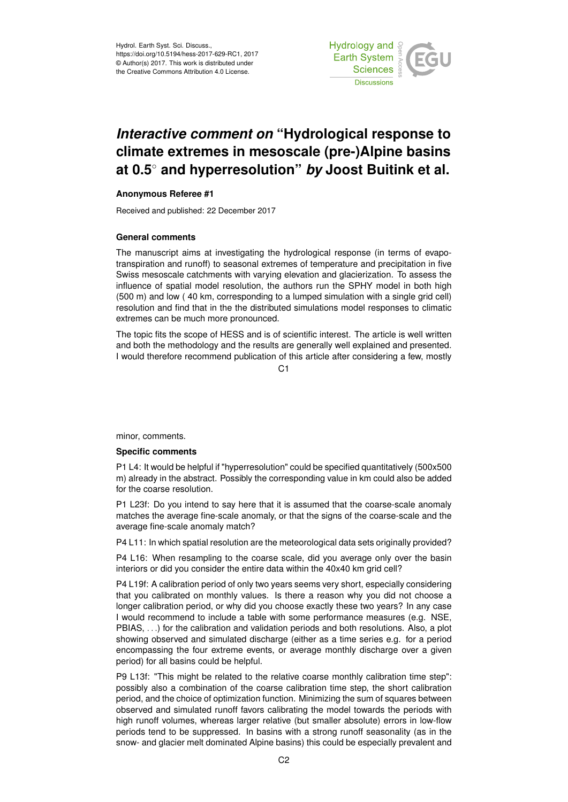Hydrol. Earth Syst. Sci. Discuss., https://doi.org/10.5194/hess-2017-629-RC1, 2017 © Author(s) 2017. This work is distributed under the Creative Commons Attribution 4.0 License.



# *Interactive comment on* **"Hydrological response to climate extremes in mesoscale (pre-)Alpine basins at 0.5**◦ **and hyperresolution"** *by* **Joost Buitink et al.**

# **Anonymous Referee #1**

Received and published: 22 December 2017

## **General comments**

The manuscript aims at investigating the hydrological response (in terms of evapotranspiration and runoff) to seasonal extremes of temperature and precipitation in five Swiss mesoscale catchments with varying elevation and glacierization. To assess the influence of spatial model resolution, the authors run the SPHY model in both high (500 m) and low ( 40 km, corresponding to a lumped simulation with a single grid cell) resolution and find that in the the distributed simulations model responses to climatic extremes can be much more pronounced.

The topic fits the scope of HESS and is of scientific interest. The article is well written and both the methodology and the results are generally well explained and presented. I would therefore recommend publication of this article after considering a few, mostly

C1

minor, comments.

#### **Specific comments**

P1 L4: It would be helpful if "hyperresolution" could be specified quantitatively (500x500 m) already in the abstract. Possibly the corresponding value in km could also be added for the coarse resolution.

P1 L23f: Do you intend to say here that it is assumed that the coarse-scale anomaly matches the average fine-scale anomaly, or that the signs of the coarse-scale and the average fine-scale anomaly match?

P4 L11: In which spatial resolution are the meteorological data sets originally provided?

P4 L16: When resampling to the coarse scale, did you average only over the basin interiors or did you consider the entire data within the 40x40 km grid cell?

P4 L19f: A calibration period of only two years seems very short, especially considering that you calibrated on monthly values. Is there a reason why you did not choose a longer calibration period, or why did you choose exactly these two years? In any case I would recommend to include a table with some performance measures (e.g. NSE, PBIAS, . . .) for the calibration and validation periods and both resolutions. Also, a plot showing observed and simulated discharge (either as a time series e.g. for a period encompassing the four extreme events, or average monthly discharge over a given period) for all basins could be helpful.

P9 L13f: "This might be related to the relative coarse monthly calibration time step": possibly also a combination of the coarse calibration time step, the short calibration period, and the choice of optimization function. Minimizing the sum of squares between observed and simulated runoff favors calibrating the model towards the periods with high runoff volumes, whereas larger relative (but smaller absolute) errors in low-flow periods tend to be suppressed. In basins with a strong runoff seasonality (as in the snow- and glacier melt dominated Alpine basins) this could be especially prevalent and